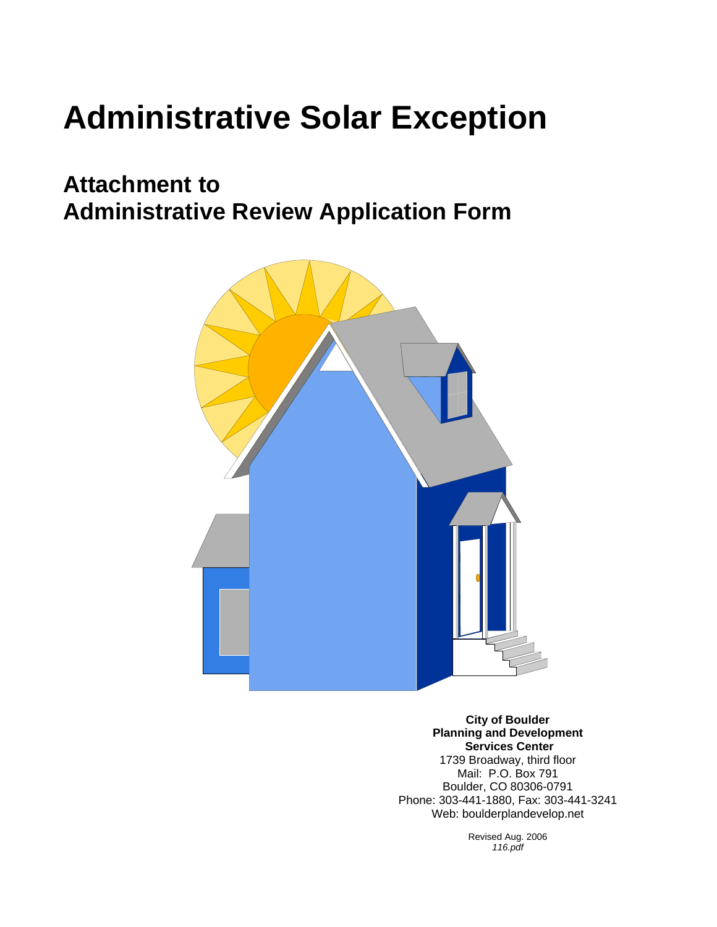# **Administrative Solar Exception**

## **Attachment to Administrative Review Application Form**



**City of Boulder Planning and Development Services Center** 1739 Broadway, third floor Mail: P.O. Box 791 Boulder, CO 80306-0791 Phone: 303-441-1880, Fax: 303-441-3241 Web: boulderplandevelop.net

> Revised Aug. 2006 *116.pdf*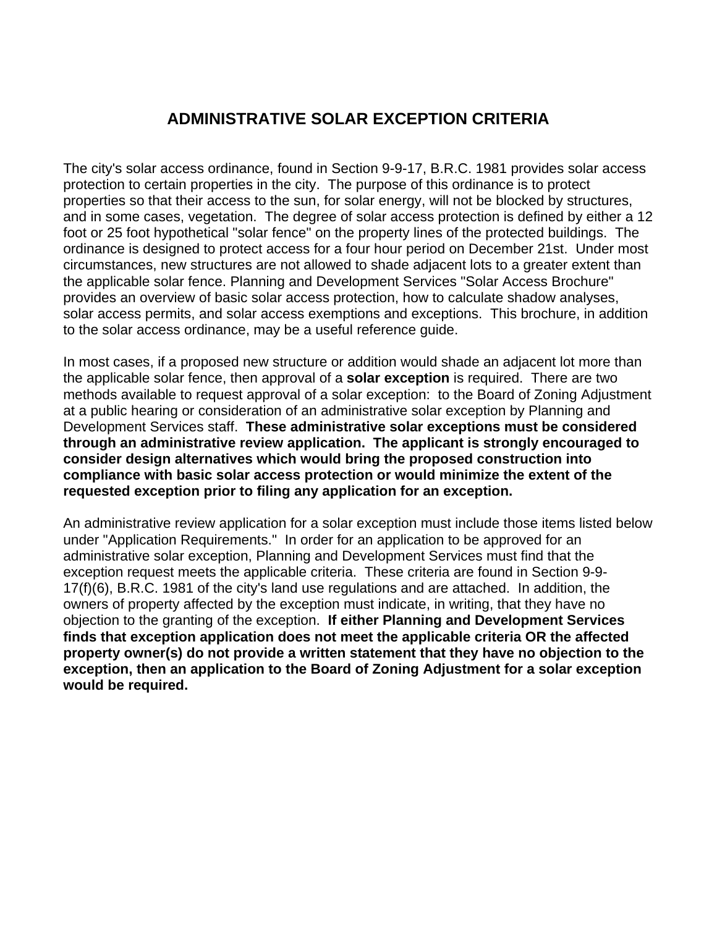#### **ADMINISTRATIVE SOLAR EXCEPTION CRITERIA**

The city's solar access ordinance, found in Section 9-9-17, B.R.C. 1981 provides solar access protection to certain properties in the city. The purpose of this ordinance is to protect properties so that their access to the sun, for solar energy, will not be blocked by structures, and in some cases, vegetation. The degree of solar access protection is defined by either a 12 foot or 25 foot hypothetical "solar fence" on the property lines of the protected buildings. The ordinance is designed to protect access for a four hour period on December 21st. Under most circumstances, new structures are not allowed to shade adjacent lots to a greater extent than the applicable solar fence. Planning and Development Services "Solar Access Brochure" provides an overview of basic solar access protection, how to calculate shadow analyses, solar access permits, and solar access exemptions and exceptions. This brochure, in addition to the solar access ordinance, may be a useful reference guide.

In most cases, if a proposed new structure or addition would shade an adjacent lot more than the applicable solar fence, then approval of a **solar exception** is required. There are two methods available to request approval of a solar exception: to the Board of Zoning Adjustment at a public hearing or consideration of an administrative solar exception by Planning and Development Services staff. **These administrative solar exceptions must be considered through an administrative review application. The applicant is strongly encouraged to consider design alternatives which would bring the proposed construction into compliance with basic solar access protection or would minimize the extent of the requested exception prior to filing any application for an exception.**

An administrative review application for a solar exception must include those items listed below under "Application Requirements." In order for an application to be approved for an administrative solar exception, Planning and Development Services must find that the exception request meets the applicable criteria. These criteria are found in Section 9-9- 17(f)(6), B.R.C. 1981 of the city's land use regulations and are attached. In addition, the owners of property affected by the exception must indicate, in writing, that they have no objection to the granting of the exception. **If either Planning and Development Services finds that exception application does not meet the applicable criteria OR the affected property owner(s) do not provide a written statement that they have no objection to the exception, then an application to the Board of Zoning Adjustment for a solar exception would be required.**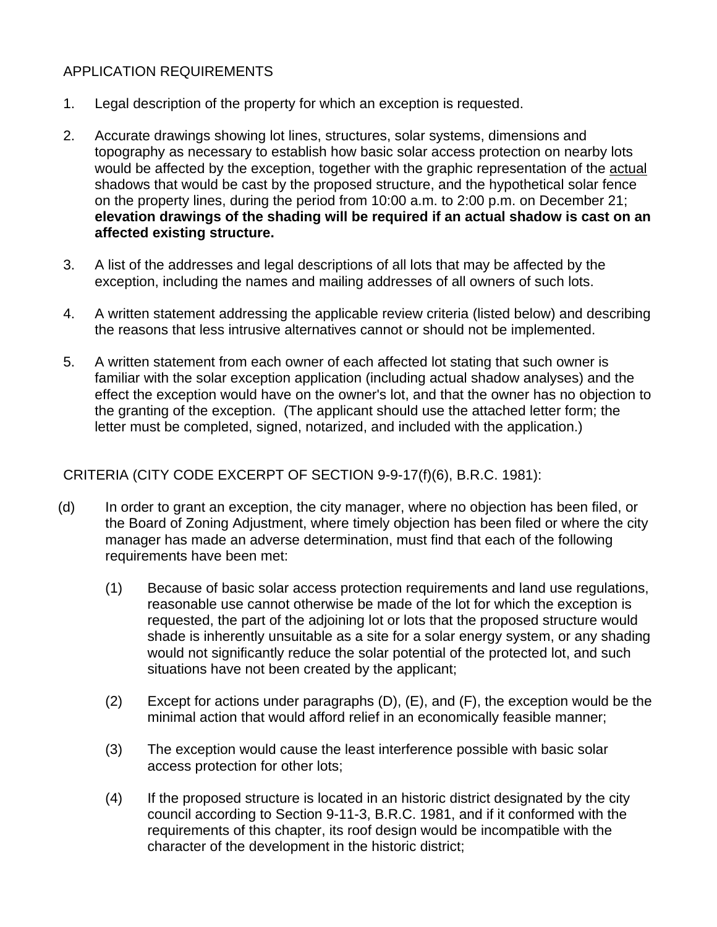#### APPLICATION REQUIREMENTS

- 1. Legal description of the property for which an exception is requested.
- 2. Accurate drawings showing lot lines, structures, solar systems, dimensions and topography as necessary to establish how basic solar access protection on nearby lots would be affected by the exception, together with the graphic representation of the actual shadows that would be cast by the proposed structure, and the hypothetical solar fence on the property lines, during the period from 10:00 a.m. to 2:00 p.m. on December 21; **elevation drawings of the shading will be required if an actual shadow is cast on an affected existing structure.**
- 3. A list of the addresses and legal descriptions of all lots that may be affected by the exception, including the names and mailing addresses of all owners of such lots.
- 4. A written statement addressing the applicable review criteria (listed below) and describing the reasons that less intrusive alternatives cannot or should not be implemented.
- 5. A written statement from each owner of each affected lot stating that such owner is familiar with the solar exception application (including actual shadow analyses) and the effect the exception would have on the owner's lot, and that the owner has no objection to the granting of the exception. (The applicant should use the attached letter form; the letter must be completed, signed, notarized, and included with the application.)

#### CRITERIA (CITY CODE EXCERPT OF SECTION 9-9-17(f)(6), B.R.C. 1981):

- (d) In order to grant an exception, the city manager, where no objection has been filed, or the Board of Zoning Adjustment, where timely objection has been filed or where the city manager has made an adverse determination, must find that each of the following requirements have been met:
	- (1) Because of basic solar access protection requirements and land use regulations, reasonable use cannot otherwise be made of the lot for which the exception is requested, the part of the adjoining lot or lots that the proposed structure would shade is inherently unsuitable as a site for a solar energy system, or any shading would not significantly reduce the solar potential of the protected lot, and such situations have not been created by the applicant;
	- $(2)$  Except for actions under paragraphs  $(D)$ ,  $(E)$ , and  $(F)$ , the exception would be the minimal action that would afford relief in an economically feasible manner;
	- (3) The exception would cause the least interference possible with basic solar access protection for other lots;
	- (4) If the proposed structure is located in an historic district designated by the city council according to Section 9-11-3, B.R.C. 1981, and if it conformed with the requirements of this chapter, its roof design would be incompatible with the character of the development in the historic district;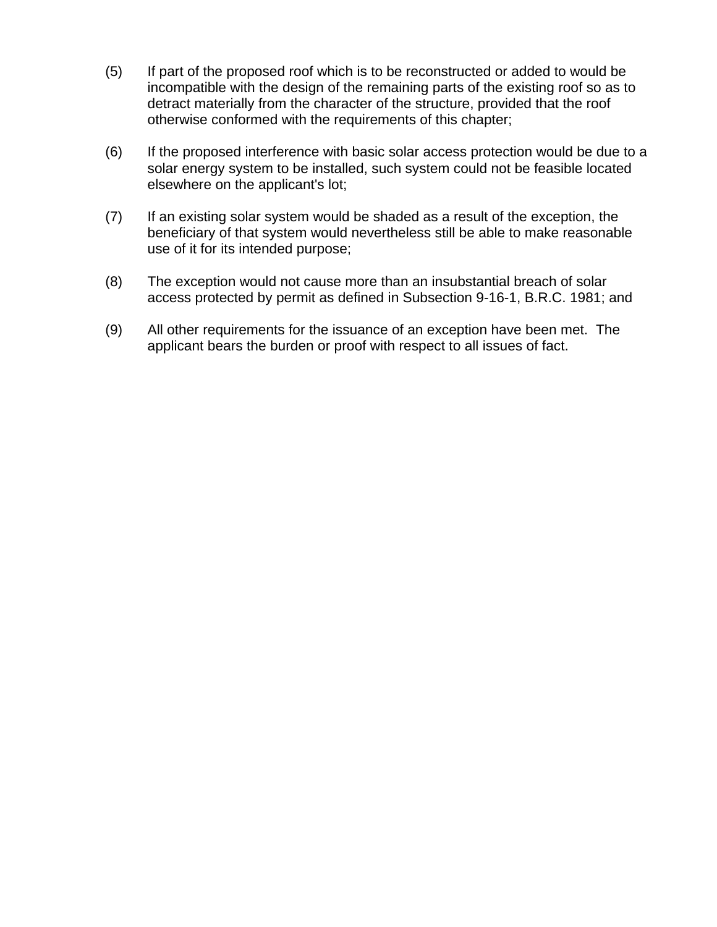- (5) If part of the proposed roof which is to be reconstructed or added to would be incompatible with the design of the remaining parts of the existing roof so as to detract materially from the character of the structure, provided that the roof otherwise conformed with the requirements of this chapter;
- (6) If the proposed interference with basic solar access protection would be due to a solar energy system to be installed, such system could not be feasible located elsewhere on the applicant's lot;
- (7) If an existing solar system would be shaded as a result of the exception, the beneficiary of that system would nevertheless still be able to make reasonable use of it for its intended purpose;
- (8) The exception would not cause more than an insubstantial breach of solar access protected by permit as defined in Subsection 9-16-1, B.R.C. 1981; and
- (9) All other requirements for the issuance of an exception have been met. The applicant bears the burden or proof with respect to all issues of fact.